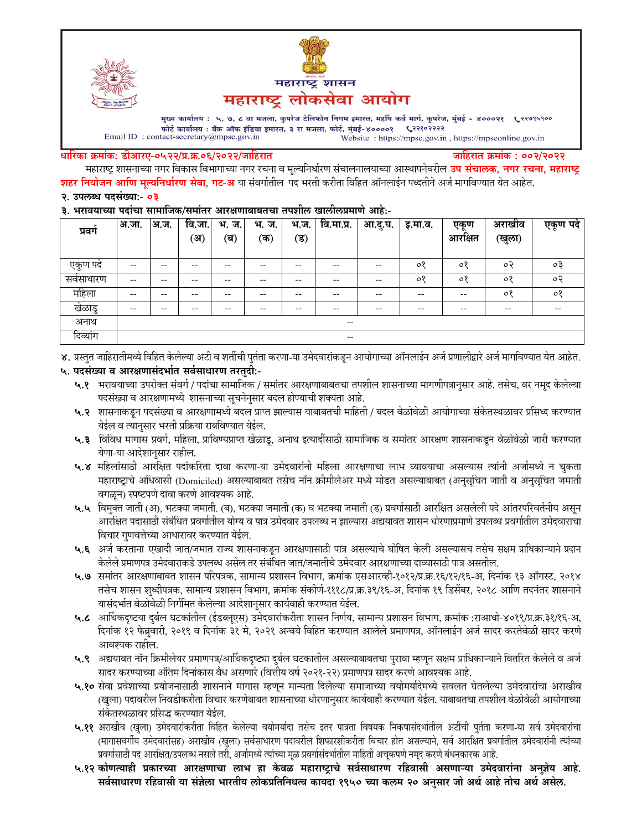



मुख्य कार्यालय : ५, ७, ८ वा मजला, कुपरेज टेलिफोन निगम इमारत, महर्षि कर्वे मार्ग, कुपरेज, मुंबई - ४०००२१ ९२९९९९०० फोर्ट कार्यालय : बँक ऑफ इंडिया इमारत, ३ रा मजला, फोर्ट, मुंबई-४००००१ ९२११०२२२२ Email ID: contact-secretary@mpsc.gov.in Website: https://mpsc.gov.in, https://mpsconline.gov.in

#### धारिका क्रमांक: डीआरए-०५२२/प्र.क्र.०६/२०२२/जाहिरात

जाहिरात क्रमांक : ००२/२०२२

महाराष्ट्र शासनाच्या नगर विकास विभागाच्या नगर रचना व मूल्यनिर्धारण संचालनालयाच्या आस्थापनेवरील **उप संचालक, नगर रचना, महाराष्ट्र** <mark>शहर नियोजन आणि मुल्यनिर्धारण सेवा, गट-अ</mark> या संवर्गातील पद भरती करीता विहित ऑनलाईन पध्दतीने अर्ज मार्गावण्यात येत आहेत. २. उपलब्ध पदसंख्या:- ०३

#### ३. भरावयाच्या पदांचा सामाजिक/समांतर आरक्षणाबाबतचा तपशील खालीलप्रमाणे आहे:-

| प्रवग        | अ.जा.                                 | अ.ज.  | वि.जा.<br>ંअ) | भ.<br>ज.<br>(ब) | भ.<br>ज.<br>′क) | भ.ज.<br>(ड) | वि.मा.प्र.               | आ.दु.घ. | इ.मा.व. | एकण<br>आरक्षित | अराखाव<br>(खुला) | एकूण पदे  |
|--------------|---------------------------------------|-------|---------------|-----------------|-----------------|-------------|--------------------------|---------|---------|----------------|------------------|-----------|
| एकुण पदं     | $\hspace{0.05cm}$ – $\hspace{0.05cm}$ | $- -$ | --            | --              |                 | --          | $- -$                    | --      | $\circ$ | $\circ$        | $\circ$          | $\circ$ 3 |
| सर्वसाधारण   | $- -$                                 | --    | $- -$         | --              | --              | $- -$       | $- -$                    | --      | $\circ$ | $\circ$        | $\circ$          | ಂ२        |
| महिला        | $\hspace{0.05cm}$ – $\hspace{0.05cm}$ | --    | --            | --              | --              | --          | $- -$                    | --      | --      | --             | ०१               | $\circ$   |
| खेळाडू       | $- -$                                 | --    | --            | --              |                 | --          | $- -$                    | --      | --      | --             | $- -$            | $- -$     |
| अनाथ         | $\overline{\phantom{m}}$              |       |               |                 |                 |             |                          |         |         |                |                  |           |
| ⌒<br>दिव्याग |                                       |       |               |                 |                 |             | $\overline{\phantom{m}}$ |         |         |                |                  |           |

४. प्रस्तुत जाहिरातीमध्ये विहित केलेल्या अटी व शर्तीची पुर्तता करणा-या उमेदवारांकडून आयोगाच्या ऑनलाईन अर्ज प्रणालीद्वारे अर्ज मार्गावण्यात येत आहेत.

# ५. पदसंख्या व आरक्षणासंदर्भात सर्वसाधारण तरतुदी:-

- ५.१ भरावयाच्या उपरोक्त संवर्ग / पदांचा सामाजिक / समांतर आरक्षणाबाबतचा तपशील शासनाच्या मागणीपत्रानुसार आहे. तसेच, वर नमूद केलेल्या पदसंख्या व आरक्षणामध्ये शासनाच्या सूचनेनुसार बदल होण्याची शक्यता आहे.
- ५.२ शासनाकडून पदसंख्या व आरक्षणामध्ये बदल प्राप्त झाल्यास याबाबतची माहिती / बदल वेळोवेळी आयोगाच्या संकेतस्थळावर प्रसिध्द करण्यात येईल व त्यानुसार भरती प्रक्रिया राबविण्यात येईल.
- ५.३ विविध मागास प्रवर्ग, महिला, प्राविण्यप्राप्त खेळाडू, अनाथ इत्यादींसाठी सामाजिक व समांतर आरक्षण शासनाकडून वेळोवेळी जारी करण्यात येणा-या आदेशानुसार राहील.
- ५.४ महिलांसाठी आरक्षित पदांकरिता दावा करणा-या उमेदवारांनी महिला आरक्षणाचा लाभ घ्यावयाचा असल्यास त्यांनी अर्जामध्ये न चुकता महाराष्ट्राचे अधिवासी (Domiciled) असल्याबाबत तसेच नॉन क्रीमीलेअर मध्ये मोडत असल्याबाबत (अनुसूचित जाती व अनुसूचित जमाती वगळून) स्पष्टपणे दावा करणे आवश्यक आहे.
- ५.५ विमुक्त जाती (अ), भटक्या जमाती. (ब), भटक्या जमाती (क) व भटक्या जमाती (ड) प्रवर्गासाठी आरक्षित असलेली पदे आंतरपरिवर्तनीय असुन आरक्षित पदासाठी संबंधित प्रवर्गातील योग्य व पात्र उमेदवार उपलब्ध न झाल्यास अद्ययावत शासन धोरणाप्रमाणे उपलब्ध प्रवर्गातील उमेदवाराचा विचार गुणवत्तेच्या आधारावर करण्यात येईल.
- ५.६ अर्ज करताना एखादी जात/जमात राज्य शासनाकडून आरक्षणासाठी पात्र असल्याचे घोषित केली असल्यासच तसेच सक्षम प्राधिकाऱ्याने प्रदान केलेले प्रमाणपत्र उमेदवाराकडे उपलब्ध असेल तर संबंधित जात/जमातीचे उमेदवार आरक्षणाच्या दाव्यासाठी पात्र असतील.
- ५.७ समांतर आरक्षणाबाबत शासन परिपत्रक, सामान्य प्रशासन विभाग, क्रमांक एसआरव्ही-१०१२/प्र.क्र.१६/१२/१६-अ, दिनांक १३ ऑगस्ट, २०१४ तसेच शासन शुध्दीपत्रक, सामान्य प्रशासन विभाग, क्रमांक संकीर्ण-१११८/प्र.क्र.३९/१६-अ, दिनांक १९ डिसेंबर, २०१८ आणि तदनंतर शासनाने यासंदर्भात वेळोवेळी निर्गमित केलेल्या आदेशानुसार कार्यवाही करण्यात येईल.
- ५.८ आर्थिकदृष्टया दुर्बल घटकांतील (ईडब्लूएस) उमेदवारांकरीता शासन निर्णय, सामान्य प्रशासन विभाग, क्रमांक :राआधो-४०१९/प्र.क्र.३१/१६-अ, दिनांक १२ फेब्रुवारी, २०१९ व दिनांक ३१ मे, २०२१ अन्वये विहित करण्यात आलेले प्रमाणपत्र, ऑनलाईन अर्ज सादर करतेवेळी सादर करणे आवश्यक राहील.
- ५.९ अद्ययावत नॉन क्रिमीलेयर प्रमाणपत्र/आर्थिकदृष्ट्या दुर्बल घटकातील असल्याबाबतचा पुरावा म्हणून सक्षम प्राधिकाऱ्याने वितरित केलेले व अर्ज सादर करण्याच्या अंतिम दिनांकास वैध असणारे (वित्तीय वर्ष २०२१-२२) प्रमाणपत्र सादर करणे आवश्यक आहे.
- ५.१० सेवा प्रवेशाच्या प्रयोजनासाठी शासनाने मागास म्हणून मान्यता दिलेल्या समाजाच्या वयोमर्यादेमध्ये सवलत घेतलेल्या उमेदवारांचा अराखीव (खुला) पदावरील निवडीकरीता विचार करणेबाबत शासनाच्या धोरणानुसार कार्यवाही करण्यात येईल. याबाबतचा तपशील वेळोवेळी आयोगाच्या संकेतस्थळावर प्रसिद्ध करण्यात येईल.
- ५.११ अराखीव (खुला) उमेदवारांकरीता विहित केलेल्या वयोमर्यादा तसेच इतर पात्रता विषयक निकषासंदर्भातील अटींची पुर्तता करणा-या सर्व उमेदवारांचा (मागासवर्गीय उमेदवारांसह) अराखीव (खुला) सर्वसाधारण पदावरील शिफारशीकरीता विचार होत असल्याने, सर्व आरक्षित प्रवर्गातील उमेदवारांनी त्यांच्या प्रवर्गासाठी पद आरक्षित/उपलब्ध नसले तरी, अर्जामध्ये त्यांच्या मूळ प्रवर्गासंदर्भातील माहिती अचूकपणे नमूद करणे बंधनकारक आहे.
- ५.१२ कोणत्याही प्रकारच्या आरक्षणाचा लाभ हा केवळ महाराष्ट्राचे सर्वसाधारण रहिवासी असणाऱ्या उमेदवारांना अनुज़ेय आहे. सर्वसाधारण रहिवासी या संज्ञेला भारतीय लोकप्रतिनिधत्व कायदा १९५० च्या कलम २० अनुसार जो अर्थ आहे तोच अर्थ असेल.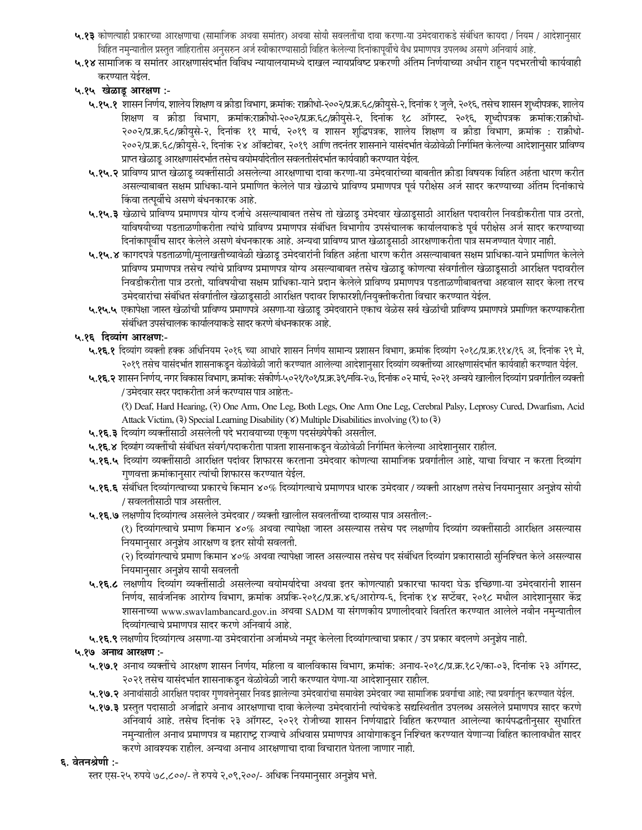- ५.१३ कोणत्याही प्रकारच्या आरक्षणाचा (सामाजिक अथवा समांतर) अथवा सोयी सवलतींचा दावा करणा-या उमेदवाराकडे संबंधित कायदा / नियम / आदेशानुसार विहित नमुन्यातील प्रस्तुत जाहिरातीस अनुसरुन अर्ज स्वीकारण्यासाठी विहित केलेल्या दिनांकापूर्वीचे वैध प्रमाणपत्र उपलब्ध असणे अनिवार्य आहे.
- ५.१४ सामाजिक व समांतर आरक्षणासंदर्भात विविध न्यायालयामध्ये दाखल न्यायप्रविष्ट प्रकरणी अंतिम निर्णयाच्या अधीन राहून पदभरतीची कार्यवाही करण्यात येईल.
- ५.१५ खेळाडू आरक्षण :-
	- ५.१५.१ शासन निर्णय, शालेय शिक्षण व क्रीडा विभाग, क्रमांक: राक्रीधो-२००२/प्र.क्र.६८/क्रीयुसे-२, दिनांक १ जुलै, २०१६, तसेच शासन शुध्दीपत्रक, शालेय शिक्षण व क्रीडा विभाग, क्रमांक:राक्रीधो-२००२/प्र.क.६८/क्रीयुसे-२, दिनांक १८ ऑगस्ट, २०१६, शुध्दीपत्रक क्रमांक:राक्रीधो-२००२/प्र.क्र.६८/क्रीयुसे-२, दिनांक ११ मार्च, २०१९ व शासन शुद्धिपत्रक, शालेय शिक्षण व क्रीडा विभाग, क्रमांक : राक्रीधो-२००२/प्र.क्र.६८/क्रीयसे-२, दिनांक २४ ऑक्टोबर, २०१९ आणि तदनंतर शासनाने यासंदर्भात वेळोवेळी निर्गमित केलेल्या आदेशानसार प्राविण्य प्राप्त खेळाडू आरक्षणासंदर्भात तसेच वयोमर्यादेतील सवलतीसंदर्भात कार्यवाही करण्यात येईल.
	- ५.१५.२ प्राविण्य प्राप्त खेळाडू व्यक्तींसाठी असलेल्या आरक्षणाचा दावा करणा-या उमेदवारांच्या बाबतीत क्रीडा विषयक विहित अर्हता धारण करीत असल्याबाबत सक्षम प्राधिका-याने प्रमाणित केलेले पात्र खेळाचे प्राविण्य प्रमाणपत्र पूर्व परीक्षेस अर्ज सादर करण्याच्या अंतिम दिनांकाचे किंवा तत्पूर्वीचे असणे बंधनकारक आहे.
	- ५.१५.३ खेळाचे प्राविण्य प्रमाणपत्र योग्य दर्जाचे असल्याबाबत तसेच तो खेळाडू उमेदवार खेळाडूसाठी आरक्षित पदावरील निवडीकरीता पात्र ठरतो, याविषयीच्या पडताळणीकरीता त्यांचे प्राविण्य प्रमाणपत्र संबंधित विभागीय उपसंचालक कार्यालयाकडे पूर्व परीक्षेस अर्ज सादर करण्याच्या दिनांकापूर्वीच सादर केलेले असणे बंधनकारक आहे. अन्यथा प्राविण्य प्राप्त खेळाडूसाठी आरक्षणाकरीता पात्र समजण्यात येणार नाही.
	- ५.१५.४ कागदपत्रे पडताळणी/मुलाखतीच्यावेळी खेळाडू उमेदवारांनी विहित अर्हता धारण करीत असल्याबाबत सक्षम प्राधिका-याने प्रमाणित केलेले प्राविण्य प्रमाणपत्र तसेच त्यांचे प्राविण्य प्रमाणपत्र योग्य असल्याबाबत तसेच खेळाडू कोणत्या संवर्गातील खेळाडूसाठी आरक्षित पदावरील निवडीकरीता पात्र ठरतो, याविषयीचा सक्षम प्राधिका-याने प्रदान केलेले प्राविण्य प्रमाणपत्र पडताळणीबाबतचा अहवाल सादर केला तरच उमेदवारांचा संबंधित संवर्गातील खेळाडूसाठी आरक्षित पदावर शिफारशी/नियुक्तीकरीता विचार करण्यात येईल.
	- ५.१५.५ एकापेक्षा जास्त खेळांची प्राविण्य प्रमाणपत्रे असणा-या खेळाडू उमेदवाराने एकाच वेळेस सर्व खेळांची प्राविण्य प्रमाणपत्रे प्रमाणित करण्याकरीता संबंधित उपसंचालक कार्यालयाकडे सादर करणे बंधनकारक आहे.

## ५.१६ दिव्यांग आरक्षण:-

- ५.१६.१ दिव्यांग व्यक्ती हक्क अधिनियम २०१६ च्या आधारे शासन निर्णय सामान्य प्रशासन विभाग, क्रमांक दिव्यांग २०१८/प्र.क्र.११४/१६ अ, दिनांक २९ मे, २०१९ तसेच यासंदर्भात शासनाकडून वेळोवेळी जारी करण्यात आलेल्या आदेशानुसार दिव्यांग व्यक्तींच्या आरक्षणासंदर्भात कार्यवाही करण्यात येईल.
- ५.१६.२ शासन निर्णय, नगर विकास विभाग, क्रमांक: संकीर्ण-५०२१/१०१/प्र.क्र.३९/नवि-२७, दिनांक ०२ मार्च, २०२१ अन्वये खालील दिव्यांग प्रवर्गातील व्यक्ती / उमेदवार सदर पदाकरीता अर्ज करण्यास पात्र आहेत:-

(?) Deaf, Hard Hearing, (?) One Arm, One Leg, Both Legs, One Arm One Leg, Cerebral Palsy, Leprosy Cured, Dwarfism, Acid Attack Victim, (3) Special Learning Disability ( $\angle$ ) Multiple Disabilities involving ( $\angle$ ) to ( $\frac{1}{2}$ )

- ५.१६.३ दिव्यांग व्यक्तींसाठी असलेली पदे भरावयाच्या एकृण पदसंख्येपैकी असतील.
- ५.१६.४ दिव्यांग व्यक्तींची संबंधित संवर्ग/पदाकरीता पात्रता शासनाकडून वेळोवेळी निर्गमित केलेल्या आदेशानुसार राहील.
- ५.**१६.५** दिव्यांग व्यक्तींसाठी आरक्षित पदांवर शिफारस करताना उमेदवार कोणत्या सामाजिक प्रवर्गातील आहे, याचा विचार न करता दिव्यांग गुणवत्ता क्रमांकानुसार त्यांची शिफारस करण्यात येईल.
- ५.१६.६ संबंधित दिव्यांगत्वाच्या प्रकारचे किमान ४०% दिव्यांगत्वाचे प्रमाणपत्र धारक उमेदवार / व्यक्ती आरक्षण तसेच नियमानुसार अनुज्ञेय सोयी / सवलतीसाठी पात्र असतील.
- ५.१६.७ लक्षणीय दिव्यांगत्व असलेले उमेदवार / व्यक्ती खालील सवलतींच्या दाव्यास पात्र असतील:-

(१) दिव्यांगत्वाचे प्रमाण किमान ४०% अथवा त्यापेक्षा जास्त असल्यास तसेच पद लक्षणीय दिव्यांग व्यक्तींसाठी आरक्षित असल्यास नियमानुसार अनुज्ञेय आरक्षण व इतर सोयी सवलती.

(२) दिव्यांगत्याचे प्रमाण किमान ४०% अथवा त्यापेक्षा जास्त असल्यास तसेच पद संबंधित दिव्यांग प्रकारासाठी सुनिश्चित केले असल्यास नियमानुसार अनुज्ञेय सायी सवलती

- ५.१६.८ लक्षणीय दिव्यांग व्यक्तींसाठी असलेल्या वयोमर्यादेचा अथवा इतर कोणत्याही प्रकारचा फायदा घेऊ इच्छिणा-या उमेदवारांनी शासन निर्णय, सार्वजनिक आरोग्य विभाग, क्रमांक अप्रकि-२०१८/प्र.क्र.४६/आरोग्य-६, दिनांक १४ सप्टेंबर, २०१८ मधील आदेशानुसार केंद्र शासनाच्या www.swavlambancard.gov.in अथवा SADM या संगणकीय प्रणालीदवारे वितरित करण्यात आलेले नवीन नमुन्यातील दिव्यांगत्वाचे प्रमाणपत्र सादर करणे अनिवार्य आहे.
- ५.१६.९ लक्षणीय दिव्यांगत्व असणा-या उमेदवारांना अर्जामध्ये नमूद केलेला दिव्यांगत्वाचा प्रकार / उप प्रकार बदलणे अनुज्ञेय नाही.

## ५.१७ अनाथ आरक्षण :-

- ५.१७.१ अनाथ व्यक्तींचे आरक्षण शासन निर्णय, महिला व बालविकास विभाग, क्रमांक: अनाथ-२०१८/प्र.क्र.१८२/का-०३, दिनांक २३ ऑगस्ट, २०२१ तसेच यासंदर्भात शासनाकडून वेळोवेळी जारी करण्यात येणा-या आदेशानुसार राहील.
- ५.१७.२ अनाथांसाठी आरक्षित पदावर गुणवत्तेनुसार निवड झालेल्या उमेदवारांचा समावेश उमेदवार ज्या सामाजिक प्रवर्गाचा आहे; त्या प्रवर्गातून करण्यात येईल.
- ५.१७.३ प्रस्तुत पदासाठी अर्जाद्वारे अनाथ आरक्षणाचा दावा केलेल्या उमेदवारांनी त्यांचेकडे सद्यस्थितीत उपलब्ध असलेले प्रमाणपत्र सादर करणे अनिवार्य आहे. तसेच दिनांक २३ ऑगस्ट, २०२१ रोजीच्या शासन निर्णयाद्वारे विहित करण्यात आलेल्या कार्यपद्धतीनुसार सुधारित नमुन्यातील अनाथ प्रमाणपत्र व महाराष्ट्र राज्याचे अधिवास प्रमाणपत्र आयोगाकडून निश्चित करण्यात येणाऱ्या विहित कालावधीत सादर करणे आवश्यक राहील. अन्यथा अनाथ आरक्षणाचा दावा विचारात घेतला जाणार नाही.

#### ६. वेतनश्रेणी :-

स्तर एस-२५ रुपये ७८,८००/- ते रुपये २,०९,२००/- अधिक नियमानुसार अनुज्ञेय भत्ते.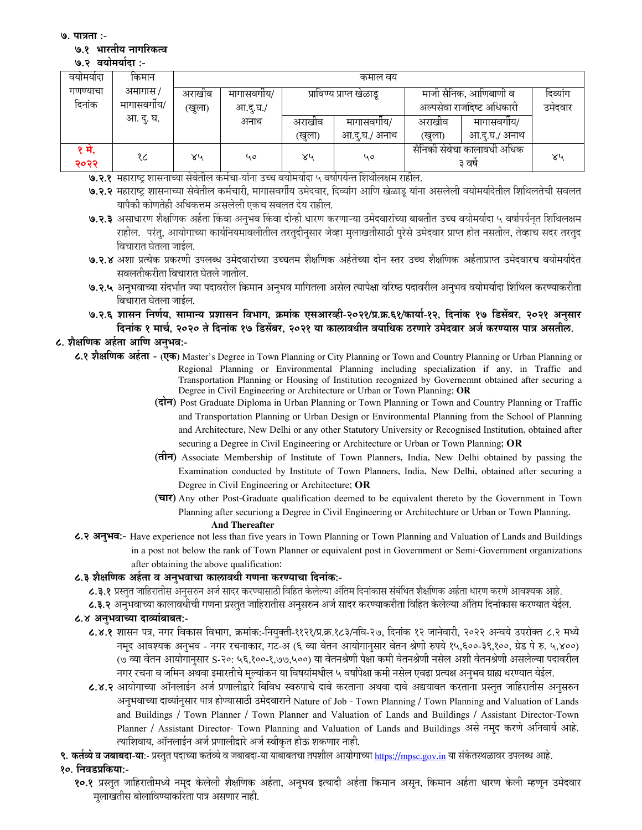७. पात्रता :-

#### ७.१ भारतीय नागरिकत्व

७.२ वयोमर्यादा :-

| वयामयादा | किमान      | कमाल वय            |            |                          |               |                            |               |          |  |
|----------|------------|--------------------|------------|--------------------------|---------------|----------------------------|---------------|----------|--|
| गणण्याचा | अमागास /   | अराखीव             | मागासवगीय/ | प्राविण्य प्राप्त खेळाडू |               | माजी सैनिक, आणिबाणी व      |               | दिव्यांग |  |
| दिनांक   | मागासवगीय/ | आ.दू.घ./<br>(खुला) |            |                          |               | अल्पसेवा राजदिष्ट अधिकारी  | उमेदवार       |          |  |
|          | आ. दु. घ.  |                    | अनाथ       | अराखीव                   | मागासवगोय/    | अराखीव                     | मागासवगीय/    |          |  |
|          |            |                    |            | (खुला)                   | आ.दु.घ./ अनाथ | (खुला)                     | आ.द्.घ./ अनाथ |          |  |
| १ म,     | १८         | ४५                 | 40         | ४५                       | ५०            | सैनिकी सेवेचा कालावधी अधिक |               | ४५       |  |
| २०२२     |            |                    |            |                          |               | ३ वर्ष                     |               |          |  |

७.२.१ महाराष्ट्र शासनाच्या सेवेतील कर्मचा-यांना उच्च वयोमर्यादा ५ वर्षापर्यन्त शिथीलक्षम राहील.

- ७.२.२ महाराष्ट्र शासनाच्या सेवेतील कर्मचारी, मागासवर्गीय उमेदवार, दिव्यांग आणि खेळाडू यांना असलेली वयोमर्यादेतील शिथिलतेची सवलत यापैकी कोणतेही अधिकत्तम असलेली एकच सवलत देय राहील.
- ७.२.३ असाधारण शैक्षणिक अर्हता किंवा अनुभव किंवा दोन्ही धारण करणाऱ्या उमेदवारांच्या बाबतीत उच्च वयोमर्यादा ५ वर्षापर्यनत शिथिलक्षम राहील. परंत. आयोगाच्या कार्यनियमावलीतील तरतुदीनुसार जेव्हा मूलाखतीसाठी पुरेसे उमेदवार प्राप्त होत नसतील, तेव्हाच सदर तरतुद विचारात घेतला जाईल.
- ७.२.४ अशा प्रत्येक प्रकरणी उपलब्ध उमेदवारांच्या उच्चतम शैक्षणिक अर्हतेच्या दोन स्तर उच्च शैक्षणिक अर्हताप्राप्त उमेदवारच वयोमर्यादेत सवलतीकरीता विचारात घेतले जातील.
- ७.२.५ अनुभवाच्या संदर्भात ज्या पदावरील किमान अनुभव मागितला असेल त्यापेक्षा वरिष्ठ पदावरील अनुभव वयोमर्यादा शिथिल करण्याकरीता विचारात घेतला जाईल.
- ७.२.६ शासन निर्णय, सामान्य प्रशासन विभाग, क्रमांक एसआरव्ही-२०२१/प्र.क्र.६१/कार्या-१२, दिनांक १७ डिसेंबर, २०२१ अनुसार दिनांक १ मार्च, २०२० ते दिनांक १७ डिसेंबर, २०२१ या कालावधीत वयाधिक ठरणारे उमेदवार अर्ज करण्यास पात्र असतील.

# ८. शैक्षणिक अर्हता आणि अनभव:-

- ८.१ शैक्षणिक अर्हता (एक) Master's Degree in Town Planning or City Planning or Town and Country Planning or Urban Planning or Regional Planning or Environmental Planning including specialization if any, in Traffic and Transportation Planning or Housing of Institution recognized by Governemnt obtained after securing a Degree in Civil Engineering or Architecture or Urban or Town Planning; OR
	- (दोन) Post Graduate Diploma in Urban Planning or Town Planning or Town and Country Planning or Traffic and Transportation Planning or Urban Design or Environmental Planning from the School of Planning and Architecture, New Delhi or any other Statutory University or Recognised Institution, obtained after securing a Degree in Civil Engineering or Architecture or Urban or Town Planning; OR
	- (तीन) Associate Membership of Institute of Town Planners, India, New Delhi obtained by passing the Examination conducted by Institute of Town Planners, India, New Delhi, obtained after securing a Degree in Civil Engineering or Architecture; OR
	- (चार) Any other Post-Graduate qualification deemed to be equivalent thereto by the Government in Town Planning after securiong a Degree in Civil Engineering or Architechture or Urban or Town Planning. **And Thereafter**
- ८.२ अनुभव:- Have experience not less than five years in Town Planning or Town Planning and Valuation of Lands and Buildings in a post not below the rank of Town Planner or equivalent post in Government or Semi-Government organizations after obtaining the above qualification:

## ८.३ शैक्षणिक अर्हता व अनुभवाचा कालावधी गणना करण्याचा दिनांक:-

- ८.३.१ प्रस्तुत जाहिरातीस अनुसरुन अर्ज सादर करण्यासाठी विहित केलेल्या अंतिम दिनांकास संबंधित शैक्षणिक अर्हता धारण करणे आवश्यक आहे.
- ८.३.२ अनुभवाच्या कालावधीची गणना प्रस्तुत जाहिरातीस अनुसरुन अर्ज सादर करण्याकरीता विहित केलेल्या अंतिम दिनांकास करण्यात येईल.

# ८.४ अनुभवाच्या दाव्यांबाबत:-

- ८.४.१ शासन पत्र, नगर विकास विभाग, क्रमांक:-नियुक्ती-११२१/प्र.क्र.१८३/नवि-२७, दिनांक १२ जानेवारी, २०२२ अन्वये उपरोक्त ८.२ मध्ये नमूद आवश्यक अनुभव - नगर रचनाकार, गट-अ (६ व्या वेतन आयोगानुसार वेतन श्रेणी रुपये १५,६००-३९,१००, ग्रेड पे रु. ५,४००) (७ व्या वेतन आयोगानुसार S-२०: ५६,१००-१,७७,५००) या वेतनश्रेणी पेक्षा कमी वेतनश्रेणी नसेल अशी वेतनश्रेणी असलेल्या पदावरील नगर रचना व जमिन अथवा इमारतीचे मुल्यांकन या विषयांमधील ५ वर्षांपेक्षा कमी नसेल एवढा प्रत्यक्ष अनुभव ग्राह्य धरण्यात येईल.
- ८.४.२ आयोगाच्या ऑनलाईन अर्ज प्रणालीद्वारे विविध स्वरुपाचे दावे करताना अथवा दावे अद्ययावत करताना प्रस्तुत जाहिरातीस अनुसरुन अनुभवाच्या दाव्यांनुसार पात्र होण्यासाठी उमेदवाराने Nature of Job - Town Planning / Town Planning and Valuation of Lands and Buildings / Town Planner / Town Planner and Valuation of Lands and Buildings / Assistant Director-Town Planner / Assistant Director- Town Planning and Valuation of Lands and Buildings असे नमूद करणे अनिवार्य आहे. त्याशिवाय, ऑनलाईन अर्ज प्रणालीद्वारे अर्ज स्वीकृत होऊ शकणार नाही.
- ९. कर्तव्ये व जबाबदा-या:- प्रस्तुत पदाच्या कर्तव्ये व जबाबदा-या याबाबतचा तपशील आयोगाच्या https://mpsc.gov.in या संकेतस्थळावर उपलब्ध आहे.

# १०. निवडप्रकिया:-

१०.१ प्रस्तूत जाहिरातीमध्ये नमुद केलेली शैक्षणिक अर्हता, अनुभव इत्यादी अर्हता किमान असून, किमान अर्हता धारण केली म्हणून उमेदवार मुलाखतीस बोलाविण्याकरिता पात्र असणार नाही.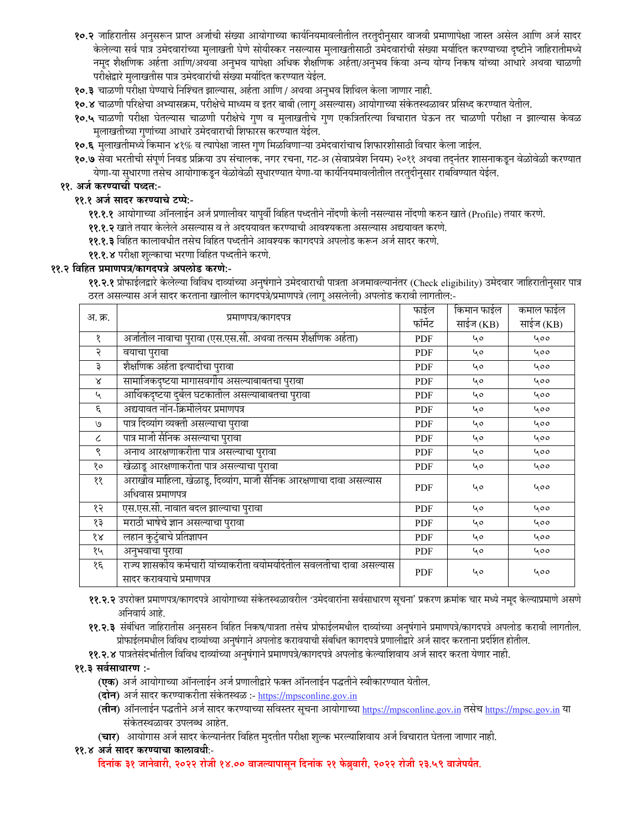- १०.२ जाहिरातीस अनुसरून प्राप्त अर्जाची संख्या आयोगाच्या कार्यनियमावलीतील तरतुदीनुसार वाजवी प्रमाणापेक्षा जास्त असेल आणि अर्ज सादर केलेल्या सर्व पात्र उमेदवारांच्या मुलाखती घेणे सोयीस्कर नसल्यास मुलाखतीसाठी उमेदवारांची संख्या मर्यादित करण्याच्या दृष्टीने जाहिरातीमध्ये नमूद शैक्षणिक अर्हता आणि/अथवा अनुभव यापेक्षा अधिक शैक्षणिक अर्हता/अनुभव किंवा अन्य योग्य निकष यांच्या आधारे अथवा चाळणी परीक्षेद्वारे मुलाखतीस पात्र उमेदवारांची संख्या मर्यादित करण्यात येईल.
- १०.३ चाळणी परीक्षा घेण्याचे निश्चित झाल्यास, अर्हता आणि / अथवा अनुभव शिथिल केला जाणार नाही.

१०.४ चाळणी परिक्षेचा अभ्यासक्रम, परीक्षेचे माध्यम व इतर बाबी (लागू असल्यास) आयोगाच्या संकेतस्थळावर प्रसिध्द करण्यात येतील.

- १०.५ चाळणी परीक्षा घेतल्यास चाळणी परीक्षेचे गुण व मुलाखतीचे गुण एकत्रितरित्या विचारात घेऊन तर चाळणी परीक्षा न झाल्यास केवळ मुलाखतीच्या गुणांच्या आधारे उमेदवाराची शिफारस करण्यात येईल.
- १०.६ मुलाखतीमध्ये किमान ४१% व त्यापेक्षा जास्त गुण मिळविणाऱ्या उमेदवारांचाच शिफारशीसाठी विचार केला जाईल.
- १०.७ सेवा भरतीची संपूर्ण निवड प्रक्रिया उप संचालक, नगर रचना, गट-अ (सेवाप्रवेश नियम) २०११ अथवा तद्नंतर शासनाकडून वेळोवेळी करण्यात येणा-या सुधारणा तसेच आयोगाकडून वेळोवेळी सुधारण्यात येणा-या कार्यनियमावलीतील तरतुदीनुसार राबविण्यात येईल.

## ११. अर्ज करण्याची पध्दत:-

# ११.१ अर्ज सादर करण्याचे टप्पे:-

- ११.१.१ आयोगाच्या ऑनलाईन अर्ज प्रणालीवर यापुर्वी विहित पध्दतीने नोंदणी केली नसल्यास नोंदणी करुन खाते (Profile) तयार करणे.
- ११.१.२ खाते तयार केलेले असल्यास व ते अदययावत करण्याची आवश्यकता असल्यास अद्ययावत करणे.
- ११.१.३ विहित कालावधीत तसेच विहित पध्दतीने आवश्यक कागदपत्रे अपलोड करून अर्ज सादर करणे.
- ११.१.४ परीक्षा शुल्काचा भरणा विहित पध्दतीने करणे.

# ११.२ विहित प्रमाणपत्र/कागदपत्रे अपलोड करणे:-

११.२.१ प्रोफाईलद्वारे केलेल्या विविध दाव्यांच्या अनुषंगाने उमेदवाराची पात्रता अजमावल्यानंतर (Check eligibility) उमेदवार जाहिरातीनुसार पात्र ठरत असल्यास अर्ज सादर करताना खालील कागदपत्रे/प्रमाणपत्रे (लागू असलेली) अपलोड करावी लागतील:-

|                             |                                                                                                   | फाईल       | किमान फाईल | कमाल फाईल |
|-----------------------------|---------------------------------------------------------------------------------------------------|------------|------------|-----------|
| अ. क्र.                     | प्रमाणपत्र/कागदपत्र                                                                               | फॉर्मेट    | साईज (KB)  | साईज (KB) |
| १                           | अर्जातील नावाचा पुरावा (एस.एस.सी. अथवा तत्सम शैक्षणिक अर्हता)                                     | <b>PDF</b> | 40         | 400       |
| २                           | वयाचा पुरावा                                                                                      | <b>PDF</b> | 40         | 400       |
| ३                           | शैक्षणिक अर्हता इत्यादीचा पुरावा                                                                  | <b>PDF</b> | 40         | 400       |
| $\chi$                      | सामाजिकदृष्टया मागासवर्गीय असल्याबाबतचा पुरावा                                                    | <b>PDF</b> | 40         | 400       |
| $\mathcal{L}_{\mathcal{A}}$ | आर्थिकदृष्टया दुर्बल घटकातील असल्याबाबतचा पुरावा                                                  | <b>PDF</b> | 40         | 400       |
| ξ                           | अद्ययावत नॉन-क्रिमीलेयर प्रमाणपत्र                                                                | <b>PDF</b> | 40         | 400       |
| وا                          | पात्र दिव्यांग व्यक्ती असल्याचा पुरावा                                                            | <b>PDF</b> | 40         | 400       |
| $\epsilon$                  | पात्र माजी सैनिक असल्याचा पुरावा                                                                  | <b>PDF</b> | 40         | 400       |
| ९                           | अनाथ आरक्षणाकरीता पात्र असल्याचा पुरावा                                                           | <b>PDF</b> | 40         | 400       |
| १०                          | खेळाडू आरक्षणाकरीता पात्र असल्याचा पुरावा                                                         | <b>PDF</b> | 40         | 400       |
| ११                          | अराखीव माहिला, खेळाडू, दिव्यांग, माजी सैनिक आरक्षणाचा दावा असल्यास                                | <b>PDF</b> | 40         | 400       |
|                             | अधिवास प्रमाणपत्र                                                                                 |            |            |           |
| १२                          | एस.एस.सी. नावात बदल झाल्याचा पुरावा                                                               | <b>PDF</b> | 40         | 400       |
| १३                          | मराठी भाषेचे ज्ञान असल्याचा पुरावा                                                                | <b>PDF</b> | 40         | 400       |
| १४                          | लहान कुटुंबाचे प्रतिज्ञापन                                                                        | <b>PDF</b> | 40         | 400       |
| १५                          | अनुभवाचा पुरावा                                                                                   | <b>PDF</b> | 40         | 400       |
| १६                          | राज्य शासकीय कर्मचारी यांच्याकरीता वयोमर्यादेतील सवलतीचा दावा असल्यास<br>सादर करावयाचे प्रमाणपत्र | <b>PDF</b> | ५०         | 400       |

- ११.२.२ उपरोक्त प्रमाणपत्र/कागदपत्रे आयोगाच्या संकेतस्थळावरील 'उमेदवारांना सर्वसाधारण सूचना' प्रकरण क्रमांक चार मध्ये नमूद केल्याप्रमाणे असणे अनिवार्य आहे.
- ११.२.३ संबंधित जाहिरातीस अनुसरुन विहित निकष/पात्रता तसेच प्रोफाईलमधील दाव्यांच्या अनुषंगाने प्रमाणपत्रे/कागदपत्रे अपलोड करावी लागतील. प्रोफाईलमधील विविध दाव्यांच्या अनुषंगाने अपलोड करावयाची संबधित कागदपत्रे प्रणालीद्वारे अर्ज सादर करताना प्रदर्शित होतील.
- ११.२.४ पात्रतेसंदर्भातील विविध दाव्यांच्या अनुषंगाने प्रमाणपत्रे/कागदपत्रे अपलोड केल्याशिवाय अर्ज सादर करता येणार नाही.

## ११.३ सर्वसाधारण :-

- (एक) अर्ज आयोगाच्या ऑनलाईन अर्ज प्रणालीद्वारे फक्त ऑनलाईन पद्धतीने स्वीकारण्यात येतील.
- (**दोन**) अर्ज सादर करण्याकरीता संकेतस्थळ :- <u>https://mpsconline.gov.in</u>
- (तीन) ऑनलाईन पद्धतीने अर्ज सादर करण्याच्या सविस्तर सूचना आयोगाच्या https://mpsconline.gov.in तसेच https://mpsc.gov.in या संकेतस्थळावर उपलब्ध आहेत.
- (चार) आयोगास अर्ज सादर केल्यानंतर विहित मुदतीत परीक्षा शुल्क भरल्याशिवाय अर्ज विचारात घेतला जाणार नाही.
- ११.४ अर्ज सादर करण्याचा कालावधीः-

दिनांक ३१ जानेवारी, २०२२ रोजी १४.०० वाजल्यापासून दिनांक २१ फेब्रुवारी, २०२२ रोजी २३.५९ वाजेपर्यंत.